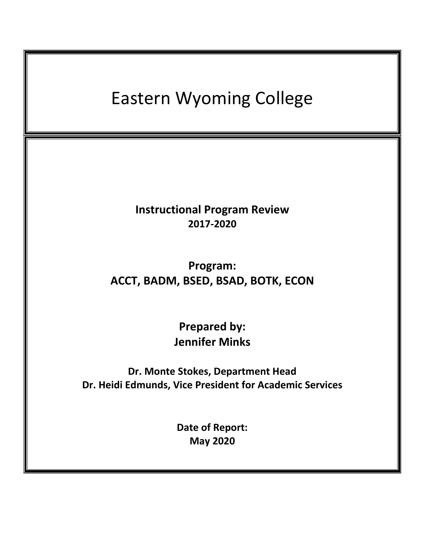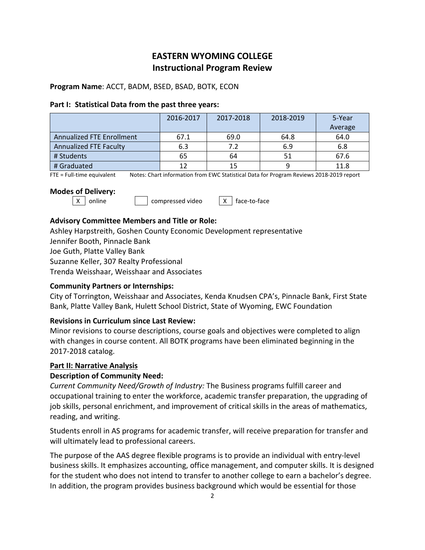# **EASTERN WYOMING COLLEGE Instructional Program Review**

## **Program Name**: ACCT, BADM, BSED, BSAD, BOTK, ECON

#### **Part I: Statistical Data from the past three years:**

|                                  | 2016-2017 | 2017-2018 | 2018-2019 | 5-Year  |
|----------------------------------|-----------|-----------|-----------|---------|
|                                  |           |           |           | Average |
| <b>Annualized FTE Enrollment</b> | 67.1      | 69.0      | 64.8      | 64.0    |
| Annualized FTE Faculty           | 6.3       | 7.2       | 6.9       | 6.8     |
| # Students                       | 65        | 64        |           | 67.6    |
| # Graduated                      |           | 15        | 9         | 11.8    |

FTE = Full-time equivalent Notes: Chart information from EWC Statistical Data for Program Reviews 2018-2019 report

## **Modes of Delivery:**

 $\vert x \vert$  online  $\vert$  compressed video  $\vert x \vert$  face-to-face

# **Advisory Committee Members and Title or Role:**

Ashley Harpstreith, Goshen County Economic Development representative

Jennifer Booth, Pinnacle Bank

Joe Guth, Platte Valley Bank

Suzanne Keller, 307 Realty Professional

Trenda Weisshaar, Weisshaar and Associates

# **Community Partners or Internships:**

City of Torrington, Weisshaar and Associates, Kenda Knudsen CPA's, Pinnacle Bank, First State Bank, Platte Valley Bank, Hulett School District, State of Wyoming, EWC Foundation

# **Revisions in Curriculum since Last Review:**

Minor revisions to course descriptions, course goals and objectives were completed to align with changes in course content. All BOTK programs have been eliminated beginning in the 2017-2018 catalog.

# **Part II: Narrative Analysis**

# **Description of Community Need:**

*Current Community Need/Growth of Industry:* The Business programs fulfill career and occupational training to enter the workforce, academic transfer preparation, the upgrading of job skills, personal enrichment, and improvement of critical skills in the areas of mathematics, reading, and writing.

Students enroll in AS programs for academic transfer, will receive preparation for transfer and will ultimately lead to professional careers.

The purpose of the AAS degree flexible programs is to provide an individual with entry-level business skills. It emphasizes accounting, office management, and computer skills. It is designed for the student who does not intend to transfer to another college to earn a bachelor's degree. In addition, the program provides business background which would be essential for those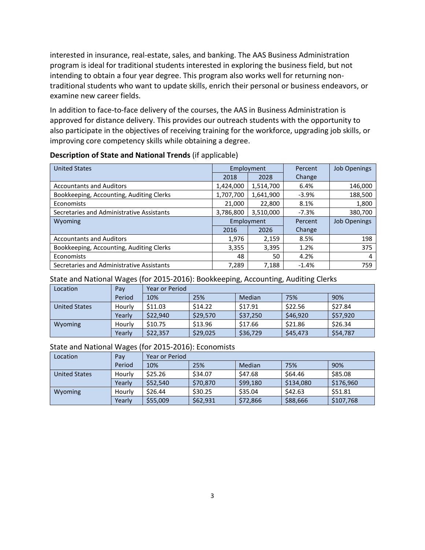interested in insurance, real-estate, sales, and banking. The AAS Business Administration program is ideal for traditional students interested in exploring the business field, but not intending to obtain a four year degree. This program also works well for returning nontraditional students who want to update skills, enrich their personal or business endeavors, or examine new career fields.

In addition to face-to-face delivery of the courses, the AAS in Business Administration is approved for distance delivery. This provides our outreach students with the opportunity to also participate in the objectives of receiving training for the workforce, upgrading job skills, or improving core competency skills while obtaining a degree.

| <b>United States</b>                      | Employment |           | Percent | <b>Job Openings</b> |
|-------------------------------------------|------------|-----------|---------|---------------------|
|                                           | 2018       | 2028      | Change  |                     |
| <b>Accountants and Auditors</b>           | 1,424,000  | 1,514,700 | 6.4%    | 146,000             |
| Bookkeeping, Accounting, Auditing Clerks  | 1,707,700  | 1,641,900 | $-3.9%$ | 188,500             |
| Economists                                | 21,000     | 22,800    | 8.1%    | 1,800               |
| Secretaries and Administrative Assistants | 3,786,800  | 3,510,000 | $-7.3%$ | 380,700             |
| Wyoming                                   | Employment |           | Percent | <b>Job Openings</b> |
|                                           | 2016       | 2026      | Change  |                     |
| <b>Accountants and Auditors</b>           | 1,976      | 2,159     | 8.5%    | 198                 |
| Bookkeeping, Accounting, Auditing Clerks  | 3,355      | 3,395     | 1.2%    | 375                 |
| Economists                                | 48         | 50        | 4.2%    | 4                   |
| Secretaries and Administrative Assistants | 7,289      | 7,188     | $-1.4%$ | 759                 |

#### **Description of State and National Trends** (if applicable)

#### State and National Wages (for 2015-2016): Bookkeeping, Accounting, Auditing Clerks

| Location             | Pay    | Year or Period |          |          |          |          |
|----------------------|--------|----------------|----------|----------|----------|----------|
|                      | Period | 10%            | 25%      | Median   | 75%      | 90%      |
| <b>United States</b> | Hourly | \$11.03        | \$14.22  | \$17.91  | \$22.56  | \$27.84  |
|                      | Yearlv | \$22,940       | \$29,570 | \$37,250 | \$46,920 | \$57,920 |
| Wyoming              | Hourly | \$10.75        | \$13.96  | \$17.66  | \$21.86  | \$26.34  |
|                      | Yearly | \$22,357       | \$29,025 | \$36,729 | \$45,473 | \$54,787 |

#### State and National Wages (for 2015-2016): Economists

| Location      | Pay    | Year or Period |          |          |           |           |
|---------------|--------|----------------|----------|----------|-----------|-----------|
|               | Period | 10%            | 25%      | Median   | 75%       | 90%       |
| United States | Hourly | \$25.26        | \$34.07  | \$47.68  | \$64.46   | \$85.08   |
|               | Yearlv | \$52,540       | \$70,870 | \$99,180 | \$134,080 | \$176,960 |
| Wyoming       | Hourly | \$26.44        | \$30.25  | \$35.04  | \$42.63   | \$51.81   |
|               | Yearlv | \$55,009       | \$62,931 | \$72,866 | \$88,666  | \$107,768 |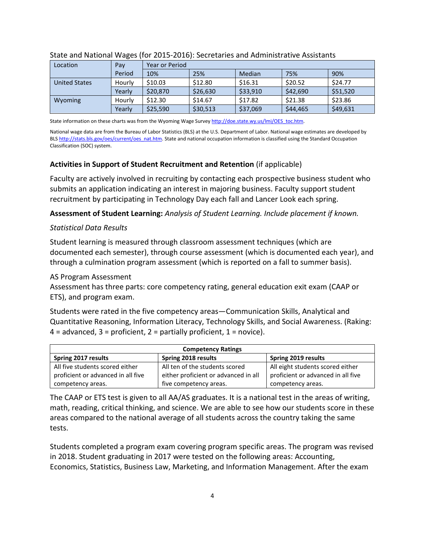| Location             | Pay    | Year or Period |          |          |          |          |
|----------------------|--------|----------------|----------|----------|----------|----------|
|                      | Period | 10%            | 25%      | Median   | 75%      | 90%      |
| <b>United States</b> | Hourly | \$10.03        | \$12.80  | \$16.31  | \$20.52  | \$24.77  |
|                      | Yearly | \$20,870       | \$26,630 | \$33,910 | \$42,690 | \$51,520 |
| Wyoming              | Hourly | \$12.30        | \$14.67  | \$17.82  | \$21.38  | \$23.86  |
|                      | Yearly | \$25,590       | \$30,513 | \$37,069 | \$44,465 | \$49,631 |

#### State and National Wages (for 2015-2016): Secretaries and Administrative Assistants

State information on these charts was from the Wyoming Wage Surve[y http://doe.state.wy.us/lmi/OES\\_toc.htm.](http://doe.state.wy.us/lmi/OES_toc.htm)

National wage data are from the Bureau of Labor Statistics (BLS) at the U.S. Department of Labor. National wage estimates are developed by BL[S http://stats.bls.gov/oes/current/oes\\_nat.htm.](http://stats.bls.gov/oes/current/oes_nat.htm) State and national occupation information is classified using the Standard Occupation Classification (SOC) system.

## **Activities in Support of Student Recruitment and Retention** (if applicable)

Faculty are actively involved in recruiting by contacting each prospective business student who submits an application indicating an interest in majoring business. Faculty support student recruitment by participating in Technology Day each fall and Lancer Look each spring.

**Assessment of Student Learning:** *Analysis of Student Learning. Include placement if known.*

## *Statistical Data Results*

Student learning is measured through classroom assessment techniques (which are documented each semester), through course assessment (which is documented each year), and through a culmination program assessment (which is reported on a fall to summer basis).

## AS Program Assessment

Assessment has three parts: core competency rating, general education exit exam (CAAP or ETS), and program exam.

Students were rated in the five competency areas—Communication Skills, Analytical and Quantitative Reasoning, Information Literacy, Technology Skills, and Social Awareness. (Raking:  $4 =$  advanced,  $3 =$  proficient,  $2 =$  partially proficient,  $1 =$  novice).

| <b>Competency Ratings</b>          |                                      |                                    |  |  |  |
|------------------------------------|--------------------------------------|------------------------------------|--|--|--|
| Spring 2017 results                | Spring 2018 results                  | Spring 2019 results                |  |  |  |
| All five students scored either    | All ten of the students scored       | All eight students scored either   |  |  |  |
| proficient or advanced in all five | either proficient or advanced in all | proficient or advanced in all five |  |  |  |
| competency areas.                  | five competency areas.               | competency areas.                  |  |  |  |

The CAAP or ETS test is given to all AA/AS graduates. It is a national test in the areas of writing, math, reading, critical thinking, and science. We are able to see how our students score in these areas compared to the national average of all students across the country taking the same tests.

Students completed a program exam covering program specific areas. The program was revised in 2018. Student graduating in 2017 were tested on the following areas: Accounting, Economics, Statistics, Business Law, Marketing, and Information Management. After the exam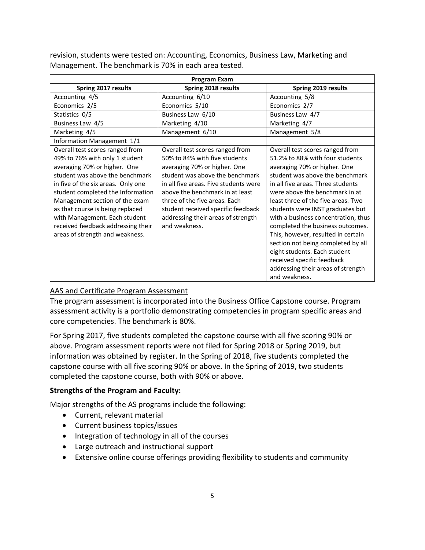| <b>Program Exam</b>                                                                                                                                                                                                                                                                                                                                                                             |                                                                                                                                                                                                                                                                                                                                               |                                                                                                                                                                                                                                                                                                                                                                                                                                                                                                                                                                    |  |  |  |  |
|-------------------------------------------------------------------------------------------------------------------------------------------------------------------------------------------------------------------------------------------------------------------------------------------------------------------------------------------------------------------------------------------------|-----------------------------------------------------------------------------------------------------------------------------------------------------------------------------------------------------------------------------------------------------------------------------------------------------------------------------------------------|--------------------------------------------------------------------------------------------------------------------------------------------------------------------------------------------------------------------------------------------------------------------------------------------------------------------------------------------------------------------------------------------------------------------------------------------------------------------------------------------------------------------------------------------------------------------|--|--|--|--|
| Spring 2017 results                                                                                                                                                                                                                                                                                                                                                                             | Spring 2018 results                                                                                                                                                                                                                                                                                                                           | Spring 2019 results                                                                                                                                                                                                                                                                                                                                                                                                                                                                                                                                                |  |  |  |  |
| Accounting 4/5                                                                                                                                                                                                                                                                                                                                                                                  | Accounting 6/10                                                                                                                                                                                                                                                                                                                               | Accounting 5/8                                                                                                                                                                                                                                                                                                                                                                                                                                                                                                                                                     |  |  |  |  |
| Economics 2/5                                                                                                                                                                                                                                                                                                                                                                                   | Economics 5/10                                                                                                                                                                                                                                                                                                                                | Economics 2/7                                                                                                                                                                                                                                                                                                                                                                                                                                                                                                                                                      |  |  |  |  |
| Statistics 0/5                                                                                                                                                                                                                                                                                                                                                                                  | Business Law 6/10                                                                                                                                                                                                                                                                                                                             | Business Law 4/7                                                                                                                                                                                                                                                                                                                                                                                                                                                                                                                                                   |  |  |  |  |
| Business Law 4/5                                                                                                                                                                                                                                                                                                                                                                                | Marketing 4/10                                                                                                                                                                                                                                                                                                                                | Marketing 4/7                                                                                                                                                                                                                                                                                                                                                                                                                                                                                                                                                      |  |  |  |  |
| Marketing 4/5                                                                                                                                                                                                                                                                                                                                                                                   | Management 6/10                                                                                                                                                                                                                                                                                                                               | Management 5/8                                                                                                                                                                                                                                                                                                                                                                                                                                                                                                                                                     |  |  |  |  |
| Information Management 1/1                                                                                                                                                                                                                                                                                                                                                                      |                                                                                                                                                                                                                                                                                                                                               |                                                                                                                                                                                                                                                                                                                                                                                                                                                                                                                                                                    |  |  |  |  |
| Overall test scores ranged from<br>49% to 76% with only 1 student<br>averaging 70% or higher. One<br>student was above the benchmark<br>in five of the six areas. Only one<br>student completed the Information<br>Management section of the exam<br>as that course is being replaced<br>with Management. Each student<br>received feedback addressing their<br>areas of strength and weakness. | Overall test scores ranged from<br>50% to 84% with five students<br>averaging 70% or higher. One<br>student was above the benchmark<br>in all five areas. Five students were<br>above the benchmark in at least<br>three of the five areas. Each<br>student received specific feedback<br>addressing their areas of strength<br>and weakness. | Overall test scores ranged from<br>51.2% to 88% with four students<br>averaging 70% or higher. One<br>student was above the benchmark<br>in all five areas. Three students<br>were above the benchmark in at<br>least three of the five areas. Two<br>students were INST graduates but<br>with a business concentration, thus<br>completed the business outcomes.<br>This, however, resulted in certain<br>section not being completed by all<br>eight students. Each student<br>received specific feedback<br>addressing their areas of strength<br>and weakness. |  |  |  |  |

revision, students were tested on: Accounting, Economics, Business Law, Marketing and Management. The benchmark is 70% in each area tested.

# AAS and Certificate Program Assessment

The program assessment is incorporated into the Business Office Capstone course. Program assessment activity is a portfolio demonstrating competencies in program specific areas and core competencies. The benchmark is 80%.

For Spring 2017, five students completed the capstone course with all five scoring 90% or above. Program assessment reports were not filed for Spring 2018 or Spring 2019, but information was obtained by register. In the Spring of 2018, five students completed the capstone course with all five scoring 90% or above. In the Spring of 2019, two students completed the capstone course, both with 90% or above.

#### **Strengths of the Program and Faculty:**

Major strengths of the AS programs include the following:

- Current, relevant material
- Current business topics/issues
- Integration of technology in all of the courses
- Large outreach and instructional support
- Extensive online course offerings providing flexibility to students and community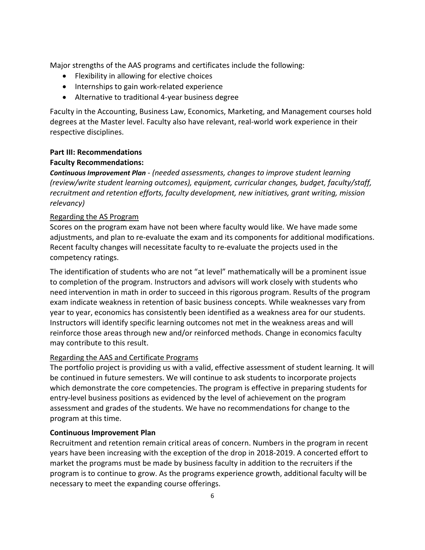Major strengths of the AAS programs and certificates include the following:

- Flexibility in allowing for elective choices
- Internships to gain work-related experience
- Alternative to traditional 4-year business degree

Faculty in the Accounting, Business Law, Economics, Marketing, and Management courses hold degrees at the Master level. Faculty also have relevant, real-world work experience in their respective disciplines.

# **Part III: Recommendations**

## **Faculty Recommendations:**

*Continuous Improvement Plan - (needed assessments, changes to improve student learning (review/write student learning outcomes), equipment, curricular changes, budget, faculty/staff, recruitment and retention efforts, faculty development, new initiatives, grant writing, mission relevancy)*

## Regarding the AS Program

Scores on the program exam have not been where faculty would like. We have made some adjustments, and plan to re-evaluate the exam and its components for additional modifications. Recent faculty changes will necessitate faculty to re-evaluate the projects used in the competency ratings.

The identification of students who are not "at level" mathematically will be a prominent issue to completion of the program. Instructors and advisors will work closely with students who need intervention in math in order to succeed in this rigorous program. Results of the program exam indicate weakness in retention of basic business concepts. While weaknesses vary from year to year, economics has consistently been identified as a weakness area for our students. Instructors will identify specific learning outcomes not met in the weakness areas and will reinforce those areas through new and/or reinforced methods. Change in economics faculty may contribute to this result.

# Regarding the AAS and Certificate Programs

The portfolio project is providing us with a valid, effective assessment of student learning. It will be continued in future semesters. We will continue to ask students to incorporate projects which demonstrate the core competencies. The program is effective in preparing students for entry-level business positions as evidenced by the level of achievement on the program assessment and grades of the students. We have no recommendations for change to the program at this time.

#### **Continuous Improvement Plan**

Recruitment and retention remain critical areas of concern. Numbers in the program in recent years have been increasing with the exception of the drop in 2018-2019. A concerted effort to market the programs must be made by business faculty in addition to the recruiters if the program is to continue to grow. As the programs experience growth, additional faculty will be necessary to meet the expanding course offerings.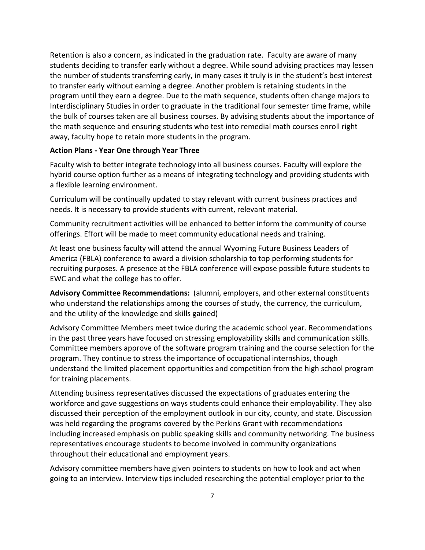Retention is also a concern, as indicated in the graduation rate. Faculty are aware of many students deciding to transfer early without a degree. While sound advising practices may lessen the number of students transferring early, in many cases it truly is in the student's best interest to transfer early without earning a degree. Another problem is retaining students in the program until they earn a degree. Due to the math sequence, students often change majors to Interdisciplinary Studies in order to graduate in the traditional four semester time frame, while the bulk of courses taken are all business courses. By advising students about the importance of the math sequence and ensuring students who test into remedial math courses enroll right away, faculty hope to retain more students in the program.

#### **Action Plans - Year One through Year Three**

Faculty wish to better integrate technology into all business courses. Faculty will explore the hybrid course option further as a means of integrating technology and providing students with a flexible learning environment.

Curriculum will be continually updated to stay relevant with current business practices and needs. It is necessary to provide students with current, relevant material.

Community recruitment activities will be enhanced to better inform the community of course offerings. Effort will be made to meet community educational needs and training.

At least one business faculty will attend the annual Wyoming Future Business Leaders of America (FBLA) conference to award a division scholarship to top performing students for recruiting purposes. A presence at the FBLA conference will expose possible future students to EWC and what the college has to offer.

**Advisory Committee Recommendations:** (alumni, employers, and other external constituents who understand the relationships among the courses of study, the currency, the curriculum, and the utility of the knowledge and skills gained)

Advisory Committee Members meet twice during the academic school year. Recommendations in the past three years have focused on stressing employability skills and communication skills. Committee members approve of the software program training and the course selection for the program. They continue to stress the importance of occupational internships, though understand the limited placement opportunities and competition from the high school program for training placements.

Attending business representatives discussed the expectations of graduates entering the workforce and gave suggestions on ways students could enhance their employability. They also discussed their perception of the employment outlook in our city, county, and state. Discussion was held regarding the programs covered by the Perkins Grant with recommendations including increased emphasis on public speaking skills and community networking. The business representatives encourage students to become involved in community organizations throughout their educational and employment years.

Advisory committee members have given pointers to students on how to look and act when going to an interview. Interview tips included researching the potential employer prior to the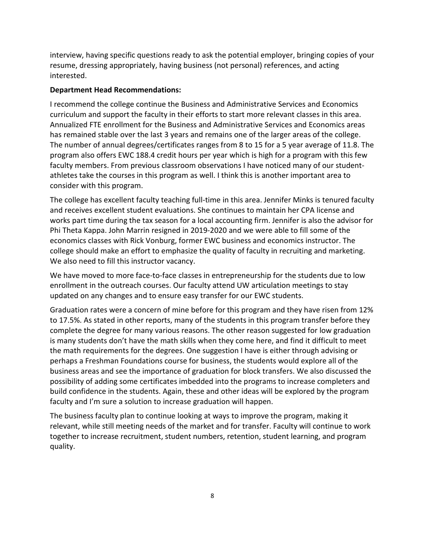interview, having specific questions ready to ask the potential employer, bringing copies of your resume, dressing appropriately, having business (not personal) references, and acting interested.

# **Department Head Recommendations:**

I recommend the college continue the Business and Administrative Services and Economics curriculum and support the faculty in their efforts to start more relevant classes in this area. Annualized FTE enrollment for the Business and Administrative Services and Economics areas has remained stable over the last 3 years and remains one of the larger areas of the college. The number of annual degrees/certificates ranges from 8 to 15 for a 5 year average of 11.8. The program also offers EWC 188.4 credit hours per year which is high for a program with this few faculty members. From previous classroom observations I have noticed many of our studentathletes take the courses in this program as well. I think this is another important area to consider with this program.

The college has excellent faculty teaching full-time in this area. Jennifer Minks is tenured faculty and receives excellent student evaluations. She continues to maintain her CPA license and works part time during the tax season for a local accounting firm. Jennifer is also the advisor for Phi Theta Kappa. John Marrin resigned in 2019-2020 and we were able to fill some of the economics classes with Rick Vonburg, former EWC business and economics instructor. The college should make an effort to emphasize the quality of faculty in recruiting and marketing. We also need to fill this instructor vacancy.

We have moved to more face-to-face classes in entrepreneurship for the students due to low enrollment in the outreach courses. Our faculty attend UW articulation meetings to stay updated on any changes and to ensure easy transfer for our EWC students.

Graduation rates were a concern of mine before for this program and they have risen from 12% to 17.5%. As stated in other reports, many of the students in this program transfer before they complete the degree for many various reasons. The other reason suggested for low graduation is many students don't have the math skills when they come here, and find it difficult to meet the math requirements for the degrees. One suggestion I have is either through advising or perhaps a Freshman Foundations course for business, the students would explore all of the business areas and see the importance of graduation for block transfers. We also discussed the possibility of adding some certificates imbedded into the programs to increase completers and build confidence in the students. Again, these and other ideas will be explored by the program faculty and I'm sure a solution to increase graduation will happen.

The business faculty plan to continue looking at ways to improve the program, making it relevant, while still meeting needs of the market and for transfer. Faculty will continue to work together to increase recruitment, student numbers, retention, student learning, and program quality.